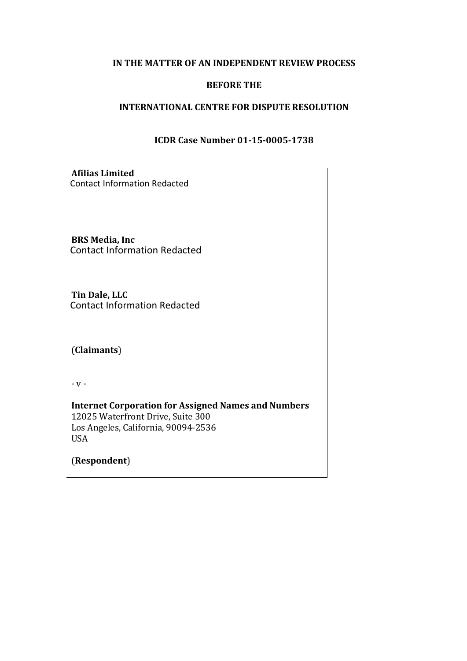### **IN THE MATTER OF AN INDEPENDENT REVIEW PROCESS**

### **BEFORE THE**

#### **INTERNATIONAL CENTRE FOR DISPUTE RESOLUTION**

#### **ICDR Case Number 01-15-0005-1738**

**Afilias Limited** Contact Information Redacted

**BRS** Media, Inc Contact Information Redacted

**Tin Dale, LLC** Contact Information Redacted

(**Claimants**)

 $-V -$ 

**Internet Corporation for Assigned Names and Numbers** 12025 Waterfront Drive, Suite 300 Los Angeles, California, 90094-2536 USA

(**Respondent**)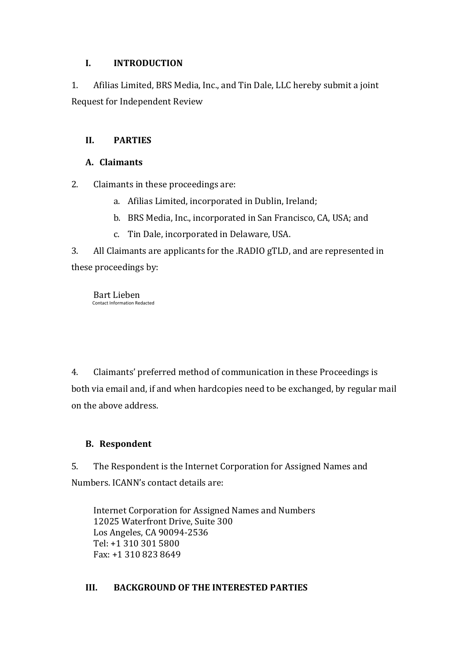## **I. INTRODUCTION**

1. Afilias Limited, BRS Media, Inc., and Tin Dale, LLC hereby submit a joint Request for Independent Review

# **II. PARTIES**

## **A. Claimants**

2. Claimants in these proceedings are:

- a. Afilias Limited, incorporated in Dublin, Ireland;
- b. BRS Media, Inc., incorporated in San Francisco, CA, USA; and
- c. Tin Dale, incorporated in Delaware, USA.

3. All Claimants are applicants for the .RADIO gTLD, and are represented in these proceedings by:

Bart Lieben Contact Information Redacted

4. Claimants' preferred method of communication in these Proceedings is both via email and, if and when hardcopies need to be exchanged, by regular mail on the above address.

# **B. Respondent**

5. The Respondent is the Internet Corporation for Assigned Names and Numbers. ICANN's contact details are:

Internet Corporation for Assigned Names and Numbers 12025 Waterfront Drive, Suite 300 Los Angeles, CA 90094-2536 Tel: +1 310 301 5800 Fax: +1 310 823 8649 

# **III. BACKGROUND OF THE INTERESTED PARTIES**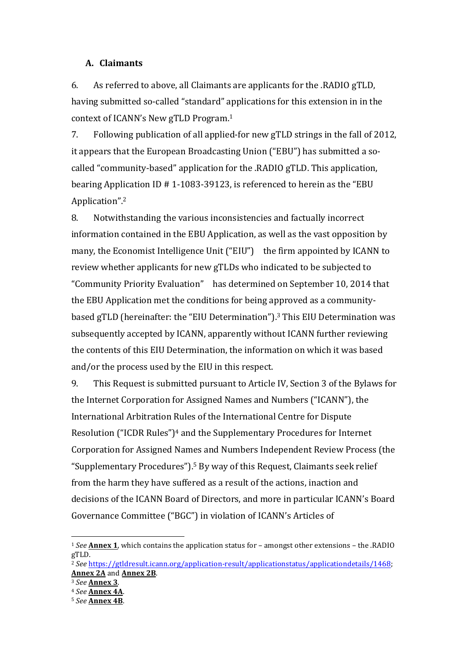#### **A. Claimants**

6. As referred to above, all Claimants are applicants for the .RADIO gTLD, having submitted so-called "standard" applications for this extension in in the context of ICANN's New gTLD Program.<sup>1</sup>

7. Following publication of all applied-for new gTLD strings in the fall of 2012. it appears that the European Broadcasting Union ("EBU") has submitted a socalled "community-based" application for the .RADIO gTLD. This application, bearing Application ID  $# 1-1083-39123$ , is referenced to herein as the "EBU Application".2

8. Notwithstanding the various inconsistencies and factually incorrect information contained in the EBU Application, as well as the vast opposition by many, the Economist Intelligence Unit ("EIU") the firm appointed by ICANN to review whether applicants for new gTLDs who indicated to be subjected to "Community Priority Evaluation" has determined on September 10, 2014 that the EBU Application met the conditions for being approved as a communitybased gTLD (hereinafter: the "EIU Determination").<sup>3</sup> This EIU Determination was subsequently accepted by ICANN, apparently without ICANN further reviewing the contents of this EIU Determination, the information on which it was based and/or the process used by the EIU in this respect.

9. This Request is submitted pursuant to Article IV, Section 3 of the Bylaws for the Internet Corporation for Assigned Names and Numbers ("ICANN"), the International Arbitration Rules of the International Centre for Dispute Resolution ("ICDR Rules")<sup>4</sup> and the Supplementary Procedures for Internet Corporation for Assigned Names and Numbers Independent Review Process (the "Supplementary Procedures").<sup>5</sup> By way of this Request, Claimants seek relief from the harm they have suffered as a result of the actions, inaction and decisions of the ICANN Board of Directors, and more in particular ICANN's Board Governance Committee ("BGC") in violation of ICANN's Articles of

<sup>&</sup>lt;sup>1</sup> See **Annex 1**, which contains the application status for – amongst other extensions – the .RADIO gTLD.

<sup>2</sup> *See* https://gtldresult.icann.org/application-result/applicationstatus/applicationdetails/1468; **Annex 2A** and **Annex 2B**.

<sup>3</sup> *See* **Annex 3**.

<sup>4</sup> *See* **Annex 4A**.

<sup>5</sup> *See* **Annex 4B**.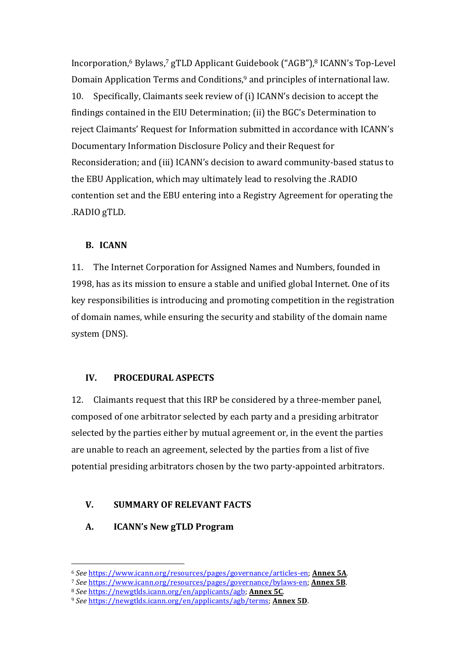Incorporation,<sup>6</sup> Bylaws,<sup>7</sup> gTLD Applicant Guidebook ("AGB"),<sup>8</sup> ICANN's Top-Level Domain Application Terms and Conditions,<sup>9</sup> and principles of international law. 10. Specifically, Claimants seek review of (i) ICANN's decision to accept the findings contained in the EIU Determination; (ii) the BGC's Determination to reject Claimants' Request for Information submitted in accordance with ICANN's Documentary Information Disclosure Policy and their Request for Reconsideration; and (iii) ICANN's decision to award community-based status to the EBU Application, which may ultimately lead to resolving the .RADIO contention set and the EBU entering into a Registry Agreement for operating the .RADIO gTLD.

#### **B. ICANN**

11. The Internet Corporation for Assigned Names and Numbers, founded in 1998, has as its mission to ensure a stable and unified global Internet. One of its key responsibilities is introducing and promoting competition in the registration of domain names, while ensuring the security and stability of the domain name system (DNS).

#### **IV. PROCEDURAL ASPECTS**

12. Claimants request that this IRP be considered by a three-member panel, composed of one arbitrator selected by each party and a presiding arbitrator selected by the parties either by mutual agreement or, in the event the parties are unable to reach an agreement, selected by the parties from a list of five potential presiding arbitrators chosen by the two party-appointed arbitrators.

### **V. SUMMARY OF RELEVANT FACTS**

**A. ICANN's New gTLD Program**

<sup>6</sup> *See* https://www.icann.org/resources/pages/governance/articles-en; **Annex 5A**.

<sup>7</sup> *See* https://www.icann.org/resources/pages/governance/bylaws-en; **Annex 5B**.

<sup>8</sup> *See* https://newgtlds.icann.org/en/applicants/agb; Annex 5C.

<sup>&</sup>lt;sup>9</sup> See https://newgtlds.icann.org/en/applicants/agb/terms; Annex 5D.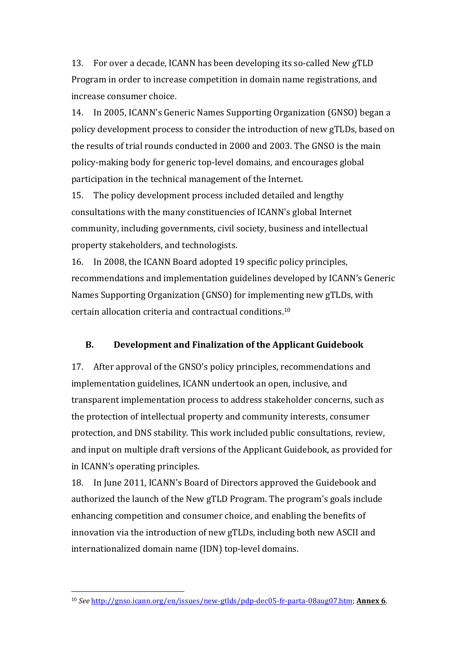13. For over a decade, ICANN has been developing its so-called New gTLD Program in order to increase competition in domain name registrations, and increase consumer choice.

14. In 2005, ICANN's Generic Names Supporting Organization (GNSO) began a policy development process to consider the introduction of new gTLDs, based on the results of trial rounds conducted in 2000 and 2003. The GNSO is the main policy-making body for generic top-level domains, and encourages global participation in the technical management of the Internet.

15. The policy development process included detailed and lengthy consultations with the many constituencies of ICANN's global Internet community, including governments, civil society, business and intellectual property stakeholders, and technologists.

16. In 2008, the ICANN Board adopted 19 specific policy principles, recommendations and implementation guidelines developed by ICANN's Generic Names Supporting Organization (GNSO) for implementing new gTLDs, with certain allocation criteria and contractual conditions.<sup>10</sup>

#### **B.** Development and Finalization of the Applicant Guidebook

17. After approval of the GNSO's policy principles, recommendations and implementation guidelines, ICANN undertook an open, inclusive, and transparent implementation process to address stakeholder concerns, such as the protection of intellectual property and community interests, consumer protection, and DNS stability. This work included public consultations, review, and input on multiple draft versions of the Applicant Guidebook, as provided for in ICANN's operating principles.

18. In June 2011, ICANN's Board of Directors approved the Guidebook and authorized the launch of the New gTLD Program. The program's goals include enhancing competition and consumer choice, and enabling the benefits of innovation via the introduction of new gTLDs, including both new ASCII and internationalized domain name (IDN) top-level domains.

<sup>10</sup> *See* http://gnso.icann.org/en/issues/new-gtlds/pdp-dec05-fr-parta-08aug07.htm; Annex 6.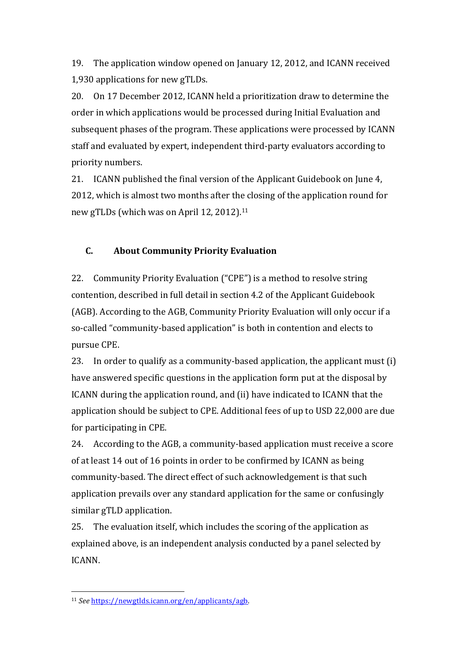19. The application window opened on January 12, 2012, and ICANN received 1,930 applications for new gTLDs.

20. On 17 December 2012, ICANN held a prioritization draw to determine the order in which applications would be processed during Initial Evaluation and subsequent phases of the program. These applications were processed by ICANN staff and evaluated by expert, independent third-party evaluators according to priority numbers.

21. ICANN published the final version of the Applicant Guidebook on June 4, 2012, which is almost two months after the closing of the application round for new gTLDs (which was on April 12, 2012).<sup>11</sup>

### **C. About Community Priority Evaluation**

22. Community Priority Evaluation ("CPE") is a method to resolve string contention, described in full detail in section 4.2 of the Applicant Guidebook (AGB). According to the AGB, Community Priority Evaluation will only occur if a so-called "community-based application" is both in contention and elects to pursue CPE. 

23. In order to qualify as a community-based application, the applicant must  $(i)$ have answered specific questions in the application form put at the disposal by ICANN during the application round, and (ii) have indicated to ICANN that the application should be subject to CPE. Additional fees of up to USD 22,000 are due for participating in CPE.

24. According to the AGB, a community-based application must receive a score of at least 14 out of 16 points in order to be confirmed by ICANN as being community-based. The direct effect of such acknowledgement is that such application prevails over any standard application for the same or confusingly similar gTLD application.

25. The evaluation itself, which includes the scoring of the application as explained above, is an independent analysis conducted by a panel selected by ICANN.

<sup>11</sup> *See* https://newgtlds.icann.org/en/applicants/agb.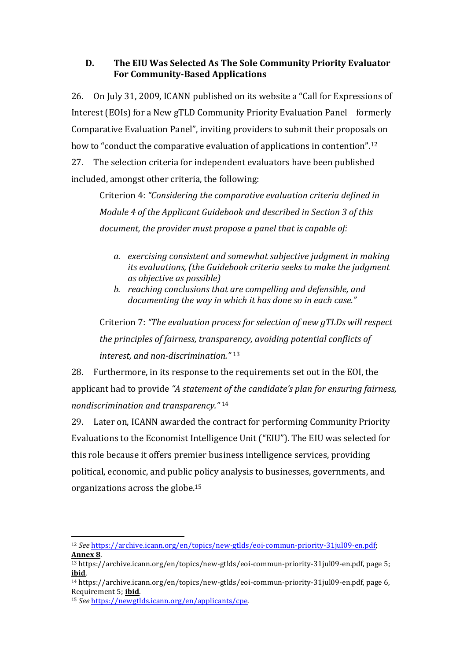## **D.** The EIU Was Selected As The Sole Community Priority Evaluator **For Community-Based Applications**

26. On July 31, 2009, ICANN published on its website a "Call for Expressions of Interest (EOIs) for a New gTLD Community Priority Evaluation Panel formerly Comparative Evaluation Panel", inviting providers to submit their proposals on how to "conduct the comparative evaluation of applications in contention".<sup>12</sup> 27. The selection criteria for independent evaluators have been published included, amongst other criteria, the following:

Criterion 4: "Considering the comparative evaluation criteria defined in *Module* 4 of the Applicant Guidebook and described in Section 3 of this *document, the provider must propose a panel that is capable of:* 

- a. exercising consistent and somewhat subjective *judament* in making *its* evaluations, (the Guidebook criteria seeks to make the judgment *as objective as possible)*
- b. reaching conclusions that are compelling and defensible, and *documenting the way in which it has done so in each case."*

Criterion 7: "The evaluation process for selection of new *qTLDs* will respect *the principles of fairness, transparency, avoiding potential conflicts of interest, and non-discrimination."*<sup>13</sup>

28. Furthermore, in its response to the requirements set out in the EOI, the applicant had to provide "A statement of the candidate's plan for ensuring fairness, *nondiscrimination and transparency."* <sup>14</sup>

29. Later on, ICANN awarded the contract for performing Community Priority Evaluations to the Economist Intelligence Unit ("EIU"). The EIU was selected for this role because it offers premier business intelligence services, providing political, economic, and public policy analysis to businesses, governments, and organizations across the globe. $15$ 

 <sup>12</sup> *See* https://archive.icann.org/en/topics/new-gtlds/eoi-commun-priority-31jul09-en.pdf; **Annex 8**. 

<sup>&</sup>lt;sup>13</sup> https://archive.icann.org/en/topics/new-gtlds/eoi-commun-priority-31jul09-en.pdf, page 5; **ibid**.

<sup>&</sup>lt;sup>14</sup> https://archive.icann.org/en/topics/new-gtlds/eoi-commun-priority-31jul09-en.pdf, page 6, Requirement 5; ibid.

<sup>15</sup> *See* https://newgtlds.icann.org/en/applicants/cpe.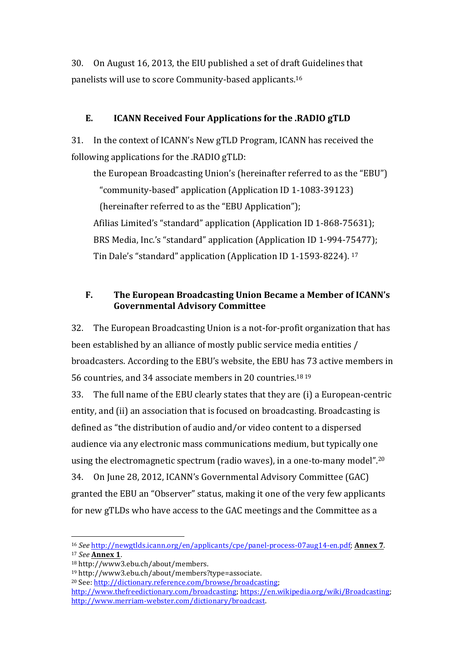30. On August 16, 2013, the EIU published a set of draft Guidelines that panelists will use to score Community-based applicants.<sup>16</sup>

## E. **ICANN Received Four Applications for the .RADIO gTLD**

31. In the context of ICANN's New gTLD Program, ICANN has received the following applications for the .RADIO gTLD:

the European Broadcasting Union's (hereinafter referred to as the "EBU") "community-based" application (Application ID 1-1083-39123) (hereinafter referred to as the "EBU Application"); Afilias Limited's "standard" application (Application ID 1-868-75631); BRS Media, Inc.'s "standard" application (Application ID 1-994-75477); Tin Dale's "standard" application (Application ID 1-1593-8224).<sup>17</sup>

# **F.** The European Broadcasting Union Became a Member of ICANN's **Governmental Advisory Committee**

32. The European Broadcasting Union is a not-for-profit organization that has been established by an alliance of mostly public service media entities / broadcasters. According to the EBU's website, the EBU has 73 active members in 56 countries, and 34 associate members in 20 countries.<sup>18 19</sup>

33. The full name of the EBU clearly states that they are (i) a European-centric entity, and (ii) an association that is focused on broadcasting. Broadcasting is defined as "the distribution of audio and/or video content to a dispersed audience via any electronic mass communications medium, but typically one using the electromagnetic spectrum (radio waves), in a one-to-many model".<sup>20</sup> 34. On June 28, 2012, ICANN's Governmental Advisory Committee (GAC) granted the EBU an "Observer" status, making it one of the very few applicants for new gTLDs who have access to the GAC meetings and the Committee as a

 <sup>16</sup> *See* http://newgtlds.icann.org/en/applicants/cpe/panel-process-07aug14-en.pdf; **Annex 7**. <sup>17</sup> *See* **Annex 1**.

<sup>18</sup> http://www3.ebu.ch/about/members.

<sup>19</sup> http://www3.ebu.ch/about/members?type=associate.

<sup>&</sup>lt;sup>20</sup> See: http://dictionary.reference.com/browse/broadcasting;

http://www.thefreedictionary.com/broadcasting; https://en.wikipedia.org/wiki/Broadcasting; http://www.merriam-webster.com/dictionary/broadcast.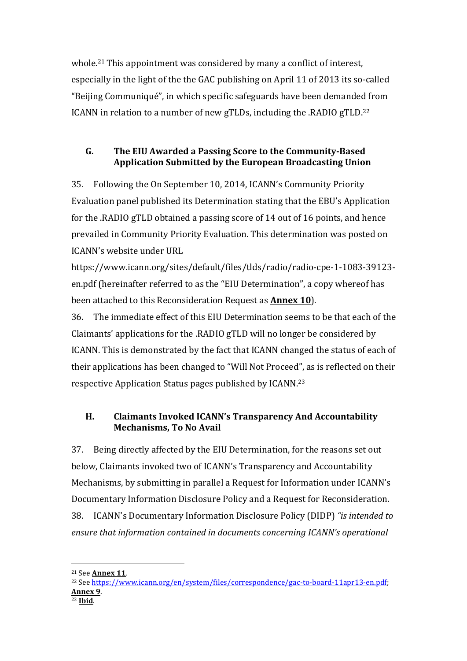whole.<sup>21</sup> This appointment was considered by many a conflict of interest, especially in the light of the the GAC publishing on April 11 of 2013 its so-called "Beijing Communiqué", in which specific safeguards have been demanded from ICANN in relation to a number of new gTLDs, including the .RADIO gTLD.<sup>22</sup>

# G. The EIU Awarded a Passing Score to the Community-Based **Application Submitted by the European Broadcasting Union**

35. Following the On September 10, 2014, ICANN's Community Priority Evaluation panel published its Determination stating that the EBU's Application for the .RADIO gTLD obtained a passing score of 14 out of 16 points, and hence prevailed in Community Priority Evaluation. This determination was posted on ICANN's website under URL

https://www.icann.org/sites/default/files/tlds/radio/radio-cpe-1-1083-39123 en.pdf (hereinafter referred to as the "EIU Determination", a copy whereof has been attached to this Reconsideration Request as **Annex 10**).

36. The immediate effect of this EIU Determination seems to be that each of the Claimants' applications for the .RADIO gTLD will no longer be considered by ICANN. This is demonstrated by the fact that ICANN changed the status of each of their applications has been changed to "Will Not Proceed", as is reflected on their respective Application Status pages published by ICANN.<sup>23</sup>

# **H.** Claimants Invoked ICANN's Transparency And Accountability **Mechanisms, To No Avail**

37. Being directly affected by the EIU Determination, for the reasons set out below, Claimants invoked two of ICANN's Transparency and Accountability Mechanisms, by submitting in parallel a Request for Information under ICANN's Documentary Information Disclosure Policy and a Request for Reconsideration. 38. ICANN's Documentary Information Disclosure Policy (DIDP) *"is intended to ensure that information contained in documents concerning ICANN's operational*

<sup>21</sup> See **Annex 11**.

<sup>22</sup> See https://www.icann.org/en/system/files/correspondence/gac-to-board-11apr13-en.pdf; **Annex 9**. <sup>23</sup> **Ibid**.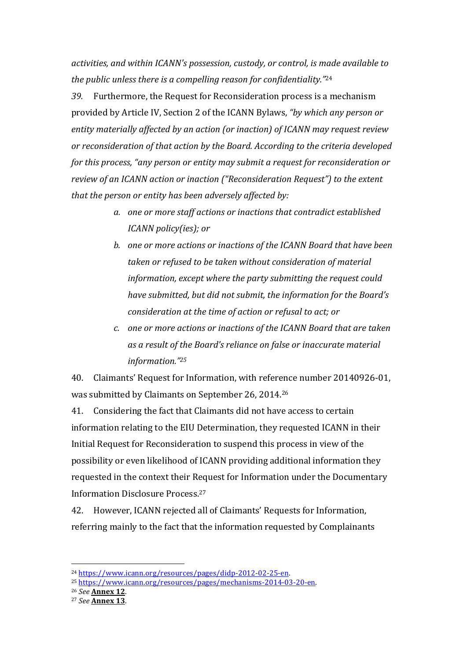*activities, and within ICANN's possession, custody, or control, is made available to the public unless there is a compelling reason for confidentiality."*<sup>24</sup>

39. Furthermore, the Request for Reconsideration process is a mechanism provided by Article IV, Section 2 of the ICANN Bylaws, "by which any person or entity materially affected by an action (or inaction) of ICANN may request review or reconsideration of that action by the Board. According to the criteria developed *for this process, "any person or entity may submit a request for reconsideration or review of an ICANN action or inaction ("Reconsideration Request")* to the extent that the person or entity has been adversely affected by:

- a. one or more staff actions or inactions that contradict established *ICANN policy(ies)*; *or*
- *b.* one or more actions or inactions of the ICANN Board that have been taken or refused to be taken without consideration of material *information, except where the party submitting the request could* have submitted, but did not submit, the information for the Board's *consideration at the time of action or refusal to act; or*
- *c.* one or more actions or inactions of the ICANN Board that are taken as a result of the Board's reliance on false or inaccurate material *information."25*

40. Claimants' Request for Information, with reference number 20140926-01. was submitted by Claimants on September 26, 2014.<sup>26</sup>

41. Considering the fact that Claimants did not have access to certain information relating to the EIU Determination, they requested ICANN in their Initial Request for Reconsideration to suspend this process in view of the possibility or even likelihood of ICANN providing additional information they requested in the context their Request for Information under the Documentary Information Disclosure Process.<sup>27</sup>

42. However, ICANN rejected all of Claimants' Requests for Information, referring mainly to the fact that the information requested by Complainants

- <sup>25</sup> https://www.icann.org/resources/pages/mechanisms-2014-03-20-en.
- <sup>26</sup> *See* **Annex 12**.

<sup>24</sup> https://www.icann.org/resources/pages/didp-2012-02-25-en. 

<sup>27</sup> *See* **Annex 13**.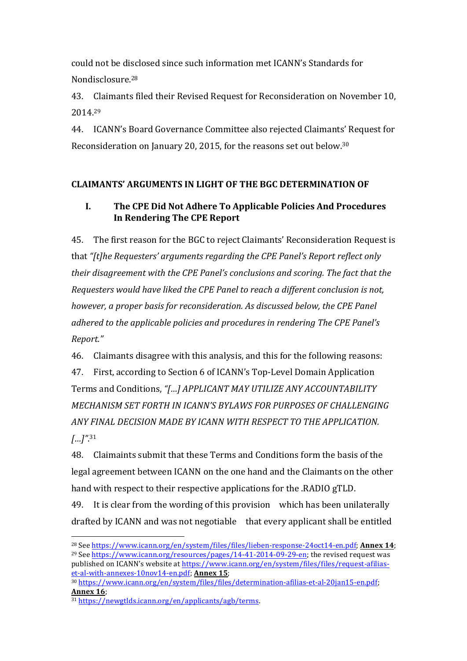could not be disclosed since such information met ICANN's Standards for Nondisclosure.28

43. Claimants filed their Revised Request for Reconsideration on November 10, 2014.29

44. ICANN's Board Governance Committee also rejected Claimants' Request for Reconsideration on January 20, 2015, for the reasons set out below.<sup>30</sup>

## **CLAIMANTS' ARGUMENTS IN LIGHT OF THE BGC DETERMINATION OF**

## I. The CPE Did Not Adhere To Applicable Policies And Procedures **In Rendering The CPE Report**

45. The first reason for the BGC to reject Claimants' Reconsideration Request is that "[t]he Requesters' arguments regarding the CPE Panel's Report reflect only their disagreement with the CPE Panel's conclusions and scoring. The fact that the *Requesters would have liked the CPE Panel to reach a different conclusion is not, however, a proper basis for reconsideration. As discussed below, the CPE Panel adhered to the applicable policies and procedures in rendering The CPE Panel's Report."*

46. Claimants disagree with this analysis, and this for the following reasons:

47. First, according to Section 6 of ICANN's Top-Level Domain Application Terms and Conditions, "[...] APPLICANT MAY UTILIZE ANY ACCOUNTABILITY *MECHANISM SET FORTH IN ICANN'S BYLAWS FOR PURPOSES OF CHALLENGING* ANY FINAL DECISION MADE BY ICANN WITH RESPECT TO THE APPLICATION. *[…]"*. 31

48. Claimaints submit that these Terms and Conditions form the basis of the legal agreement between ICANN on the one hand and the Claimants on the other hand with respect to their respective applications for the .RADIO gTLD.

49. It is clear from the wording of this provision which has been unilaterally drafted by ICANN and was not negotiable that every applicant shall be entitled

<sup>&</sup>lt;sup>28</sup> See https://www.icann.org/en/system/files/files/lieben-response-24oct14-en.pdf; **Annex 14**;  $^{29}$  See  $\frac{\text{https://www.icann.org/resources/pages/14-41-2014-09-29-en}}{\text{https://www.icann.org/resources/pages/14-41-2014-09-29-en}}$  the revised request was published on ICANN's website at https://www.icann.org/en/system/files/files/request-afiliaset-al-with-annexes-10nov14-en.pdf; Annex 15;

<sup>30</sup> https://www.icann.org/en/system/files/files/determination-afilias-et-al-20jan15-en.pdf; **Annex 16**; 

<sup>31</sup> https://newgtlds.icann.org/en/applicants/agb/terms.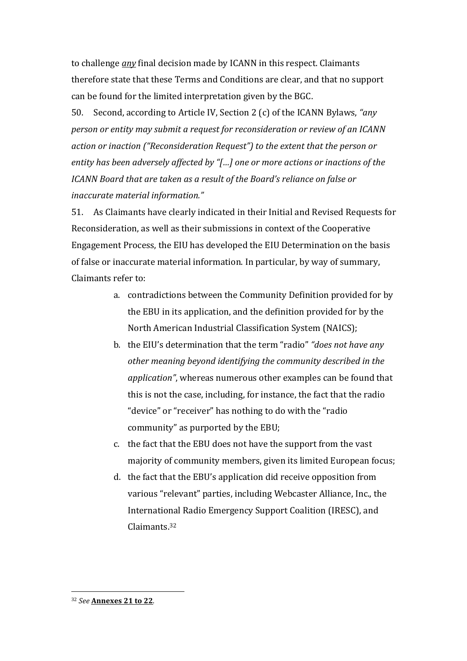to challenge *any* final decision made by ICANN in this respect. Claimants therefore state that these Terms and Conditions are clear, and that no support can be found for the limited interpretation given by the BGC.

50. Second, according to Article IV, Section 2 (c) of the ICANN Bylaws, "any *person or entity may submit a request for reconsideration or review of an ICANN action or inaction* ("Reconsideration Request") to the extent that the person or entity has been adversely affected by "[...] one or more actions or inactions of the *ICANN* Board that are taken as a result of the Board's reliance on false or *inaccurate material information."*

51. As Claimants have clearly indicated in their Initial and Revised Requests for Reconsideration, as well as their submissions in context of the Cooperative Engagement Process, the EIU has developed the EIU Determination on the basis of false or inaccurate material information. In particular, by way of summary, Claimants refer to:

- a. contradictions between the Community Definition provided for by the EBU in its application, and the definition provided for by the North American Industrial Classification System (NAICS);
- b. the EIU's determination that the term "radio" "does not have any other meaning beyond identifying the community described in the application", whereas numerous other examples can be found that this is not the case, including, for instance, the fact that the radio "device" or "receiver" has nothing to do with the "radio" community" as purported by the EBU;
- c. the fact that the EBU does not have the support from the vast majority of community members, given its limited European focus;
- d. the fact that the EBU's application did receive opposition from various "relevant" parties, including Webcaster Alliance, Inc., the International Radio Emergency Support Coalition (IRESC), and Claimants. 32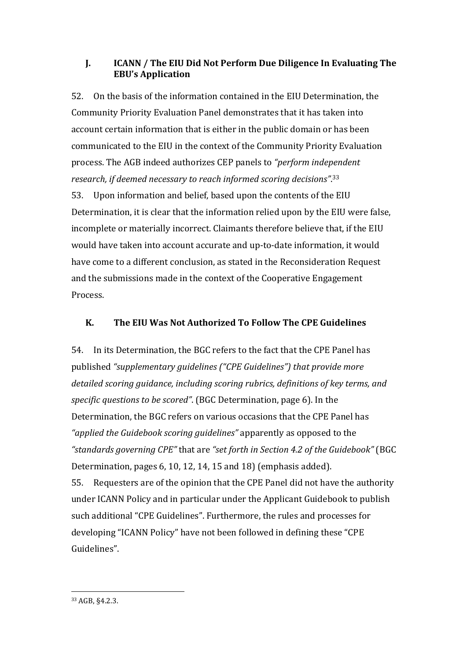## **J. ICANN** / The EIU Did Not Perform Due Diligence In Evaluating The **EBU's Application**

52. On the basis of the information contained in the EIU Determination, the Community Priority Evaluation Panel demonstrates that it has taken into account certain information that is either in the public domain or has been communicated to the EIU in the context of the Community Priority Evaluation process. The AGB indeed authorizes CEP panels to "*perform independent* research, if deemed necessary to reach informed scoring decisions".<sup>33</sup> 53. Upon information and belief, based upon the contents of the EIU Determination, it is clear that the information relied upon by the EIU were false, incomplete or materially incorrect. Claimants therefore believe that, if the EIU would have taken into account accurate and up-to-date information, it would

have come to a different conclusion, as stated in the Reconsideration Request and the submissions made in the context of the Cooperative Engagement Process.

## K. The EIU Was Not Authorized To Follow The CPE Guidelines

54. In its Determination, the BGC refers to the fact that the CPE Panel has published "supplementary guidelines ("CPE Guidelines") that provide more detailed scoring guidance, including scoring rubrics, definitions of key terms, and *specific questions to be scored"*. (BGC Determination, page 6). In the Determination, the BGC refers on various occasions that the CPE Panel has "*applied the Guidebook scoring quidelines*" apparently as opposed to the "standards governing CPE" that are "set forth in Section 4.2 of the Guidebook" (BGC Determination, pages  $6, 10, 12, 14, 15$  and  $18$ ) (emphasis added). 55. Requesters are of the opinion that the CPE Panel did not have the authority under ICANN Policy and in particular under the Applicant Guidebook to publish such additional "CPE Guidelines". Furthermore, the rules and processes for developing "ICANN Policy" have not been followed in defining these "CPE Guidelines".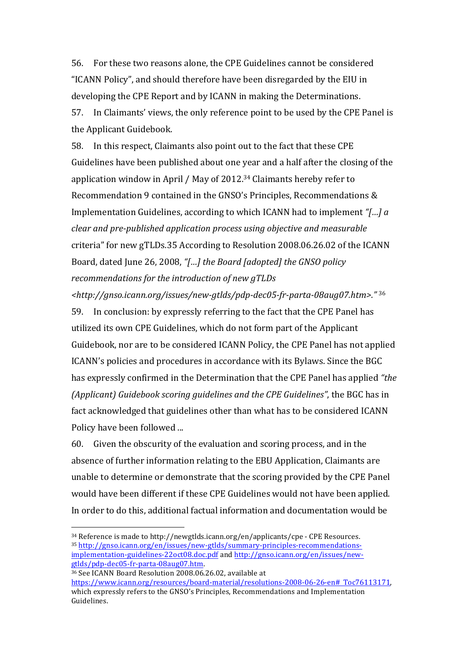56. For these two reasons alone, the CPE Guidelines cannot be considered "ICANN Policy", and should therefore have been disregarded by the EIU in developing the CPE Report and by ICANN in making the Determinations. 57. In Claimants' views, the only reference point to be used by the CPE Panel is the Applicant Guidebook.

58. In this respect, Claimants also point out to the fact that these CPE Guidelines have been published about one year and a half after the closing of the application window in April / May of 2012.<sup>34</sup> Claimants hereby refer to Recommendation 9 contained in the GNSO's Principles, Recommendations & Implementation Guidelines, according to which ICANN had to implement "[*...*] *a clear and pre-published application process using objective and measurable* criteria" for new gTLDs.35 According to Resolution 2008.06.26.02 of the ICANN Board, dated June 26, 2008, "[...] the Board [adopted] the GNSO policy recommendations for the introduction of new gTLDs

*<http://gnso.icann.org/issues/new-gtlds/pdp-dec05-fr-parta-08aug07.htm>."* <sup>36</sup> 59. In conclusion: by expressly referring to the fact that the CPE Panel has utilized its own CPE Guidelines, which do not form part of the Applicant Guidebook, nor are to be considered ICANN Policy, the CPE Panel has not applied ICANN's policies and procedures in accordance with its Bylaws. Since the BGC has expressly confirmed in the Determination that the CPE Panel has applied "the *(Applicant) Guidebook scoring guidelines and the CPE Guidelines''*, the BGC has in fact acknowledged that guidelines other than what has to be considered ICANN Policy have been followed ...

60. Given the obscurity of the evaluation and scoring process, and in the absence of further information relating to the EBU Application, Claimants are unable to determine or demonstrate that the scoring provided by the CPE Panel would have been different if these CPE Guidelines would not have been applied. In order to do this, additional factual information and documentation would be

 $34$  Reference is made to http://newgtlds.icann.org/en/applicants/cpe - CPE Resources. <sup>35</sup> http://gnso.icann.org/en/issues/new-gtlds/summary-principles-recommendationsimplementation-guidelines-22oct08.doc.pdf and http://gnso.icann.org/en/issues/newgtlds/pdp-dec05-fr-parta-08aug07.htm. 

<sup>36</sup> See ICANN Board Resolution 2008.06.26.02, available at 

https://www.icann.org/resources/board-material/resolutions-2008-06-26-en# Toc76113171, which expressly refers to the GNSO's Principles, Recommendations and Implementation Guidelines.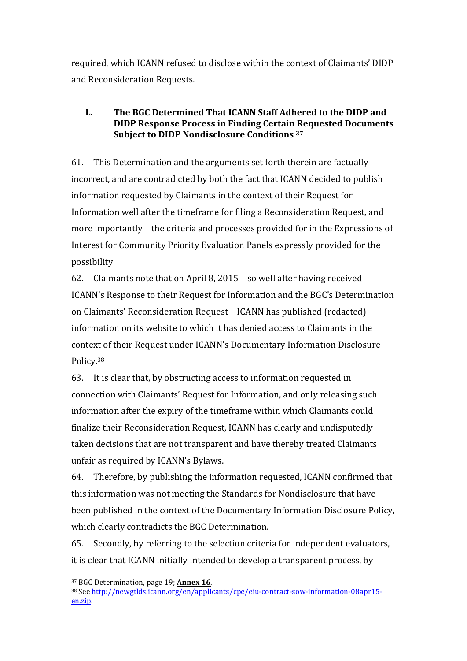required, which ICANN refused to disclose within the context of Claimants' DIDP and Reconsideration Requests.

### **L.** The BGC Determined That ICANN Staff Adhered to the DIDP and **DIDP Response Process in Finding Certain Requested Documents Subject to DIDP Nondisclosure Conditions** 37

61. This Determination and the arguments set forth therein are factually incorrect, and are contradicted by both the fact that ICANN decided to publish information requested by Claimants in the context of their Request for Information well after the timeframe for filing a Reconsideration Request, and more importantly the criteria and processes provided for in the Expressions of Interest for Community Priority Evaluation Panels expressly provided for the possibility 

62. Claimants note that on April 8, 2015 so well after having received ICANN's Response to their Request for Information and the BGC's Determination on Claimants' Reconsideration Request ICANN has published (redacted) information on its website to which it has denied access to Claimants in the context of their Request under ICANN's Documentary Information Disclosure Policy.38

63. It is clear that, by obstructing access to information requested in connection with Claimants' Request for Information, and only releasing such information after the expiry of the timeframe within which Claimants could finalize their Reconsideration Request, ICANN has clearly and undisputedly taken decisions that are not transparent and have thereby treated Claimants unfair as required by ICANN's Bylaws.

64. Therefore, by publishing the information requested, ICANN confirmed that this information was not meeting the Standards for Nondisclosure that have been published in the context of the Documentary Information Disclosure Policy, which clearly contradicts the BGC Determination.

65. Secondly, by referring to the selection criteria for independent evaluators, it is clear that ICANN initially intended to develop a transparent process, by

<sup>&</sup>lt;sup>37</sup> BGC Determination, page 19; **Annex 16**.

<sup>38</sup> See http://newgtlds.icann.org/en/applicants/cpe/eiu-contract-sow-information-08apr15en.zip.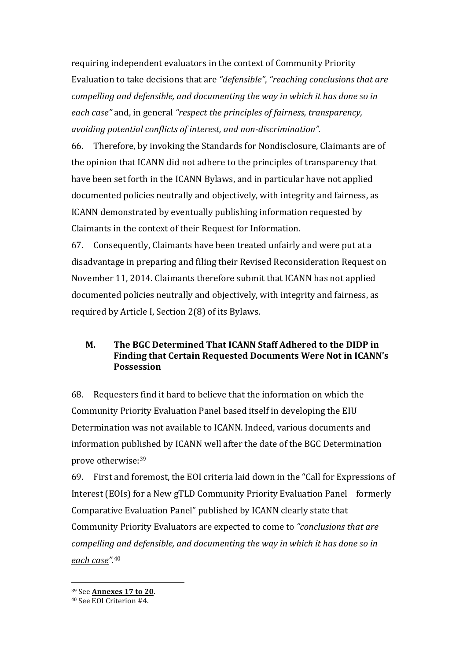requiring independent evaluators in the context of Community Priority Evaluation to take decisions that are "defensible", "reaching conclusions that are *compelling and defensible, and documenting the way in which it has done so in each case*" and, in general "respect the principles of fairness, transparency, *avoiding potential conflicts of interest, and non-discrimination".* 

66. Therefore, by invoking the Standards for Nondisclosure, Claimants are of the opinion that ICANN did not adhere to the principles of transparency that have been set forth in the ICANN Bylaws, and in particular have not applied documented policies neutrally and objectively, with integrity and fairness, as ICANN demonstrated by eventually publishing information requested by Claimants in the context of their Request for Information.

67. Consequently, Claimants have been treated unfairly and were put at a disadvantage in preparing and filing their Revised Reconsideration Request on November 11, 2014. Claimants therefore submit that ICANN has not applied documented policies neutrally and objectively, with integrity and fairness, as required by Article I, Section  $2(8)$  of its Bylaws.

### **M.** The BGC Determined That ICANN Staff Adhered to the DIDP in Finding that Certain Requested Documents Were Not in ICANN's **Possession**

68. Requesters find it hard to believe that the information on which the Community Priority Evaluation Panel based itself in developing the EIU Determination was not available to ICANN. Indeed, various documents and information published by ICANN well after the date of the BGC Determination prove otherwise:<sup>39</sup>

69. First and foremost, the EOI criteria laid down in the "Call for Expressions of Interest (EOIs) for a New gTLD Community Priority Evaluation Panel formerly Comparative Evaluation Panel" published by ICANN clearly state that Community Priority Evaluators are expected to come to "conclusions that are *compelling and defensible, and documenting the way in which it has done so in each case".*<sup>40</sup>

<sup>39</sup> See **Annexes 17 to 20**.

<sup>40</sup> See EOI Criterion #4.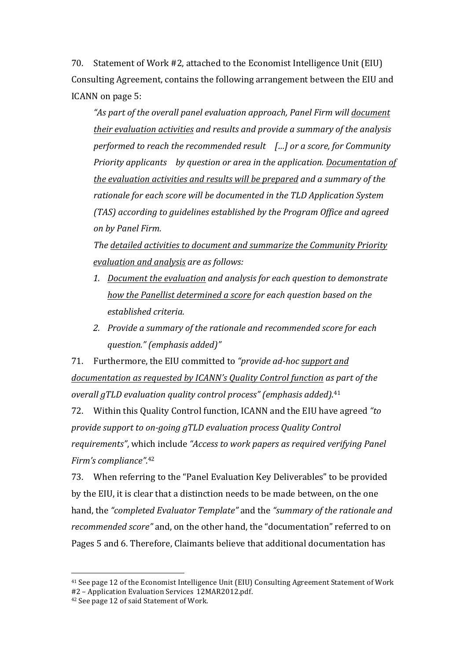70. Statement of Work #2, attached to the Economist Intelligence Unit (EIU) Consulting Agreement, contains the following arrangement between the EIU and ICANN on page 5:

"As part of the overall panel evaluation approach, Panel Firm will document their evaluation activities and results and provide a summary of the analysis *performed to reach the recommended result [...] or a score, for Community Priority applicants by question or area in the application. Documentation of the evaluation activities and results will be prepared and a summary of the* rationale for each score will be documented in the TLD Application System *(TAS)* according to guidelines established by the Program Office and agreed *on by Panel Firm.*

The detailed activities to document and summarize the Community Priority *evaluation and analysis are as follows:*

- 1. Document the evaluation and analysis for each question to demonstrate *how the Panellist determined a score for each question based on the established criteria.*
- 2. Provide a summary of the rationale and recommended score for each *question." (emphasis added)"*

71. Furthermore, the EIU committed to "provide ad-hoc support and documentation as requested by *ICANN's Quality Control function* as part of the *overall gTLD evaluation quality control process" (emphasis added)*. 41

72. Within this Quality Control function, ICANN and the EIU have agreed "to *provide support to on-going gTLD evaluation process Quality Control requirements*", which include "Access to work papers as required verifying Panel Firm's compliance".<sup>42</sup>

73. When referring to the "Panel Evaluation Key Deliverables" to be provided by the EIU, it is clear that a distinction needs to be made between, on the one hand, the "completed Evaluator Template" and the "summary of the rationale and *recommended score"* and, on the other hand, the "documentation" referred to on Pages 5 and 6. Therefore, Claimants believe that additional documentation has

<sup>&</sup>lt;sup>41</sup> See page 12 of the Economist Intelligence Unit (EIU) Consulting Agreement Statement of Work #2 - Application Evaluation Services 12MAR2012.pdf.  $42$  See page 12 of said Statement of Work.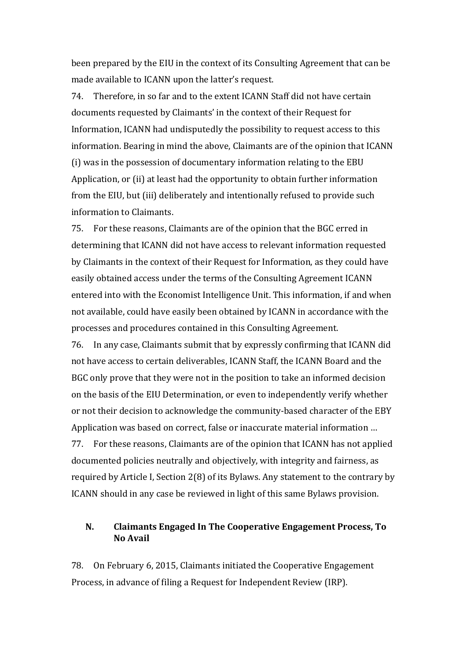been prepared by the EIU in the context of its Consulting Agreement that can be made available to ICANN upon the latter's request.

74. Therefore, in so far and to the extent ICANN Staff did not have certain documents requested by Claimants' in the context of their Request for Information, ICANN had undisputedly the possibility to request access to this information. Bearing in mind the above, Claimants are of the opinion that ICANN (i) was in the possession of documentary information relating to the EBU Application, or (ii) at least had the opportunity to obtain further information from the EIU, but (iii) deliberately and intentionally refused to provide such information to Claimants.

75. For these reasons, Claimants are of the opinion that the BGC erred in determining that ICANN did not have access to relevant information requested by Claimants in the context of their Request for Information, as they could have easily obtained access under the terms of the Consulting Agreement ICANN entered into with the Economist Intelligence Unit. This information, if and when not available, could have easily been obtained by ICANN in accordance with the processes and procedures contained in this Consulting Agreement.

76. In any case, Claimants submit that by expressly confirming that ICANN did not have access to certain deliverables, ICANN Staff, the ICANN Board and the BGC only prove that they were not in the position to take an informed decision on the basis of the EIU Determination, or even to independently verify whether or not their decision to acknowledge the community-based character of the EBY Application was based on correct, false or inaccurate material information ... 77. For these reasons, Claimants are of the opinion that ICANN has not applied documented policies neutrally and objectively, with integrity and fairness, as required by Article I, Section  $2(8)$  of its Bylaws. Any statement to the contrary by ICANN should in any case be reviewed in light of this same Bylaws provision.

#### N. Claimants Engaged In The Cooperative Engagement Process, To **No Avail**

78. On February 6, 2015, Claimants initiated the Cooperative Engagement Process, in advance of filing a Request for Independent Review (IRP).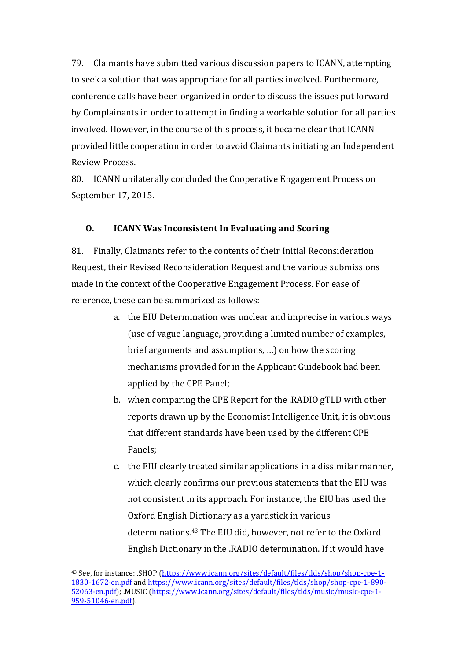79. Claimants have submitted various discussion papers to ICANN, attempting to seek a solution that was appropriate for all parties involved. Furthermore, conference calls have been organized in order to discuss the issues put forward by Complainants in order to attempt in finding a workable solution for all parties involved. However, in the course of this process, it became clear that ICANN provided little cooperation in order to avoid Claimants initiating an Independent Review Process.

80. ICANN unilaterally concluded the Cooperative Engagement Process on September 17, 2015.

#### **O. ICANN Was Inconsistent In Evaluating and Scoring**

81. Finally, Claimants refer to the contents of their Initial Reconsideration Request, their Revised Reconsideration Request and the various submissions made in the context of the Cooperative Engagement Process. For ease of reference, these can be summarized as follows:

- a. the EIU Determination was unclear and imprecise in various ways (use of vague language, providing a limited number of examples, brief arguments and assumptions, ...) on how the scoring mechanisms provided for in the Applicant Guidebook had been applied by the CPE Panel;
- b. when comparing the CPE Report for the .RADIO gTLD with other reports drawn up by the Economist Intelligence Unit, it is obvious that different standards have been used by the different CPE Panels;
- c. the EIU clearly treated similar applications in a dissimilar manner, which clearly confirms our previous statements that the EIU was not consistent in its approach. For instance, the EIU has used the Oxford English Dictionary as a yardstick in various determinations.<sup>43</sup> The EIU did, however, not refer to the Oxford English Dictionary in the .RADIO determination. If it would have

<sup>&</sup>lt;sup>43</sup> See, for instance: .SHOP (https://www.icann.org/sites/default/files/tlds/shop/shop-cpe-1-1830-1672-en.pdf and https://www.icann.org/sites/default/files/tlds/shop/shop-cpe-1-890- 52063-en.pdf); MUSIC (https://www.icann.org/sites/default/files/tlds/music/music-cpe-1-959-51046-en.pdf).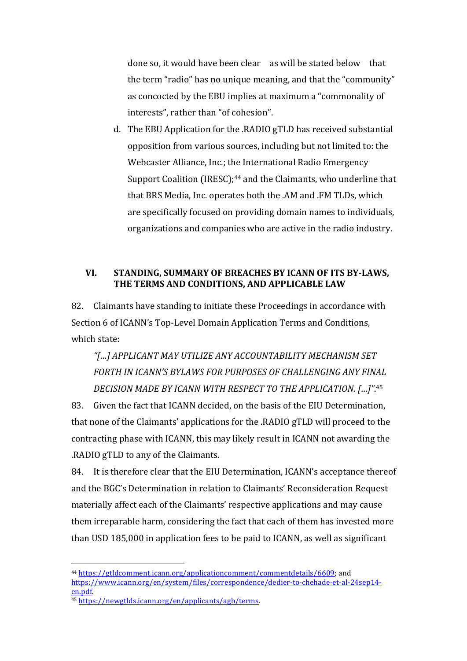done so, it would have been clear as will be stated below that the term "radio" has no unique meaning, and that the "community" as concocted by the EBU implies at maximum a "commonality of interests", rather than "of cohesion".

d. The EBU Application for the .RADIO gTLD has received substantial opposition from various sources, including but not limited to: the Webcaster Alliance, Inc.; the International Radio Emergency Support Coalition (IRESC);<sup>44</sup> and the Claimants, who underline that that BRS Media, Inc. operates both the .AM and .FM TLDs, which are specifically focused on providing domain names to individuals, organizations and companies who are active in the radio industry.

### VI. STANDING, SUMMARY OF BREACHES BY ICANN OF ITS BY-LAWS, **THE TERMS AND CONDITIONS, AND APPLICABLE LAW**

82. Claimants have standing to initiate these Proceedings in accordance with Section 6 of ICANN's Top-Level Domain Application Terms and Conditions, which state:

*"[…] APPLICANT MAY UTILIZE ANY ACCOUNTABILITY MECHANISM SET*  FORTH IN ICANN'S BYLAWS FOR PURPOSES OF CHALLENGING ANY FINAL DECISION MADE BY ICANN WITH RESPECT TO THE APPLICATION. [...]".45

83. Given the fact that ICANN decided, on the basis of the EIU Determination, that none of the Claimants' applications for the .RADIO gTLD will proceed to the contracting phase with ICANN, this may likely result in ICANN not awarding the .RADIO gTLD to any of the Claimants.

84. It is therefore clear that the EIU Determination, ICANN's acceptance thereof and the BGC's Determination in relation to Claimants' Reconsideration Request materially affect each of the Claimants' respective applications and may cause them irreparable harm, considering the fact that each of them has invested more than USD 185,000 in application fees to be paid to ICANN, as well as significant

<sup>&</sup>lt;sup>44</sup> https://gtldcomment.icann.org/applicationcomment/commentdetails/6609; and https://www.icann.org/en/system/files/correspondence/dedier-to-chehade-et-al-24sep14 en.pdf. 

<sup>45</sup> https://newgtlds.icann.org/en/applicants/agb/terms.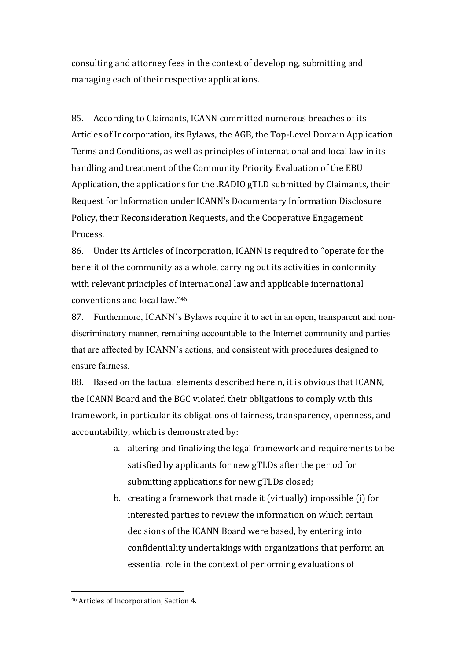consulting and attorney fees in the context of developing, submitting and managing each of their respective applications.

85. According to Claimants, ICANN committed numerous breaches of its Articles of Incorporation, its Bylaws, the AGB, the Top-Level Domain Application Terms and Conditions, as well as principles of international and local law in its handling and treatment of the Community Priority Evaluation of the EBU Application, the applications for the .RADIO gTLD submitted by Claimants, their Request for Information under ICANN's Documentary Information Disclosure Policy, their Reconsideration Requests, and the Cooperative Engagement **Process** 

86. Under its Articles of Incorporation, ICANN is required to "operate for the benefit of the community as a whole, carrying out its activities in conformity with relevant principles of international law and applicable international conventions and local law."46

87. Furthermore, ICANN's Bylaws require it to act in an open, transparent and nondiscriminatory manner, remaining accountable to the Internet community and parties that are affected by ICANN's actions, and consistent with procedures designed to ensure fairness.

88. Based on the factual elements described herein, it is obvious that ICANN, the ICANN Board and the BGC violated their obligations to comply with this framework, in particular its obligations of fairness, transparency, openness, and accountability, which is demonstrated by:

- a. altering and finalizing the legal framework and requirements to be satisfied by applicants for new gTLDs after the period for submitting applications for new gTLDs closed;
- b. creating a framework that made it (virtually) impossible  $(i)$  for interested parties to review the information on which certain decisions of the ICANN Board were based, by entering into confidentiality undertakings with organizations that perform an essential role in the context of performing evaluations of

<sup>46</sup> Articles of Incorporation, Section 4.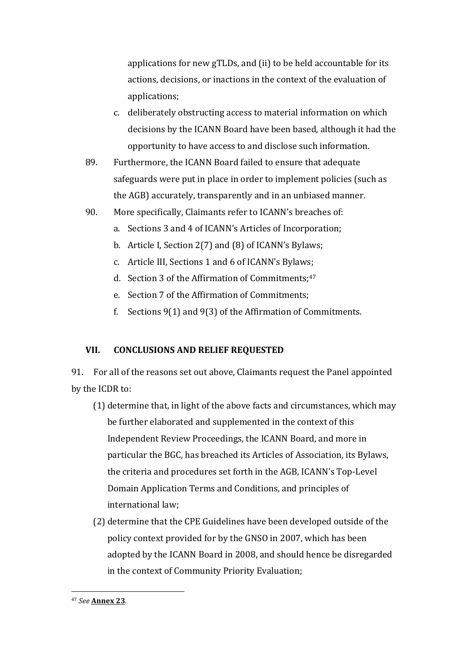applications for new gTLDs, and (ii) to be held accountable for its actions, decisions, or inactions in the context of the evaluation of applications;

- c. deliberately obstructing access to material information on which decisions by the ICANN Board have been based, although it had the opportunity to have access to and disclose such information.
- 89. Furthermore, the ICANN Board failed to ensure that adequate safeguards were put in place in order to implement policies (such as the AGB) accurately, transparently and in an unbiased manner.
- 90. More specifically, Claimants refer to ICANN's breaches of:
	- a. Sections 3 and 4 of ICANN's Articles of Incorporation;
	- b. Article I, Section  $2(7)$  and  $(8)$  of ICANN's Bylaws;
	- c. Article III, Sections 1 and 6 of ICANN's Bylaws;
	- d. Section 3 of the Affirmation of Commitments;<sup>47</sup>
	- e. Section 7 of the Affirmation of Commitments:
	- f. Sections  $9(1)$  and  $9(3)$  of the Affirmation of Commitments.

### **VII. CONCLUSIONS AND RELIEF REQUESTED**

91. For all of the reasons set out above, Claimants request the Panel appointed by the ICDR to:

- (1) determine that, in light of the above facts and circumstances, which may be further elaborated and supplemented in the context of this Independent Review Proceedings, the ICANN Board, and more in particular the BGC, has breached its Articles of Association, its Bylaws, the criteria and procedures set forth in the AGB, ICANN's Top-Level Domain Application Terms and Conditions, and principles of international law:
- (2) determine that the CPE Guidelines have been developed outside of the policy context provided for by the GNSO in 2007, which has been adopted by the ICANN Board in 2008, and should hence be disregarded in the context of Community Priority Evaluation;

<sup>47</sup> *See* **Annex 23**.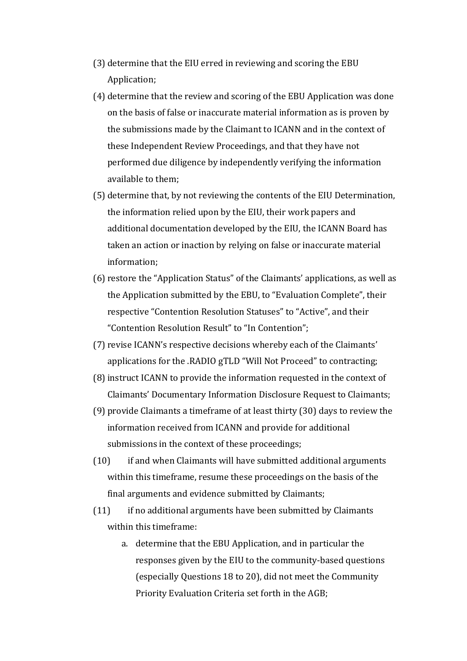- (3) determine that the EIU erred in reviewing and scoring the EBU Application;
- (4) determine that the review and scoring of the EBU Application was done on the basis of false or inaccurate material information as is proven by the submissions made by the Claimant to ICANN and in the context of these Independent Review Proceedings, and that they have not performed due diligence by independently verifying the information available to them:
- (5) determine that, by not reviewing the contents of the EIU Determination, the information relied upon by the EIU, their work papers and additional documentation developed by the EIU, the ICANN Board has taken an action or inaction by relying on false or inaccurate material information;
- $(6)$  restore the "Application Status" of the Claimants' applications, as well as the Application submitted by the EBU, to "Evaluation Complete", their respective "Contention Resolution Statuses" to "Active", and their "Contention Resolution Result" to "In Contention";
- (7) revise ICANN's respective decisions whereby each of the Claimants' applications for the .RADIO gTLD "Will Not Proceed" to contracting;
- (8) instruct ICANN to provide the information requested in the context of Claimants' Documentary Information Disclosure Request to Claimants:
- (9) provide Claimants a timeframe of at least thirty  $(30)$  days to review the information received from ICANN and provide for additional submissions in the context of these proceedings;
- $(10)$  if and when Claimants will have submitted additional arguments within this timeframe, resume these proceedings on the basis of the final arguments and evidence submitted by Claimants;
- $(11)$  if no additional arguments have been submitted by Claimants within this timeframe:
	- a. determine that the EBU Application, and in particular the responses given by the EIU to the community-based questions (especially Questions 18 to 20), did not meet the Community Priority Evaluation Criteria set forth in the AGB;